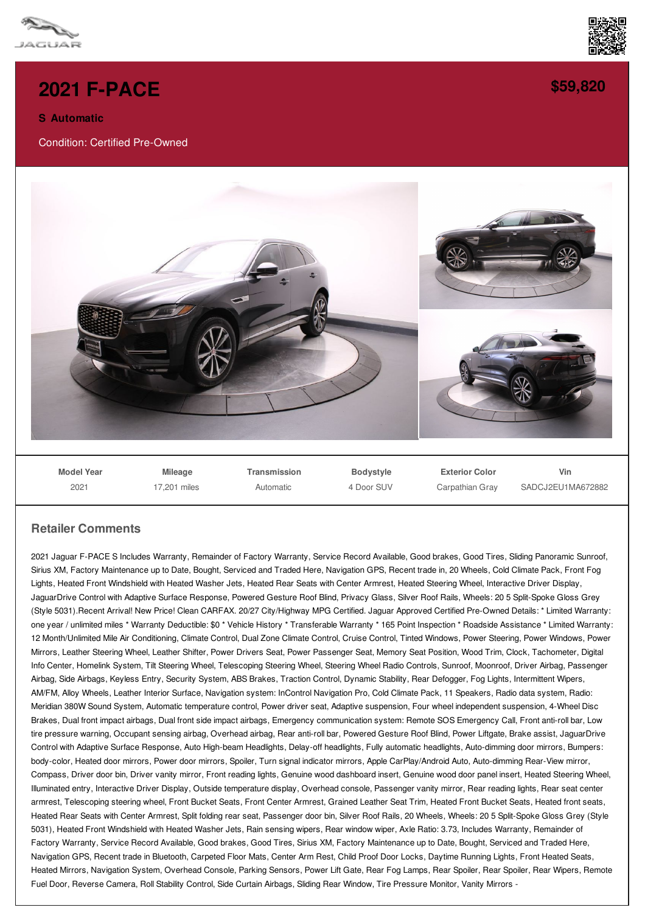

## **2021 [F-PACE](/used-certified/pdf/)**

## **S Automatic**

Condition: Certified Pre-Owned



**[\\$59,820](/used-certified/pdf/)**

SADCJ2EU1MA672882

**Model Year Mileage Transmission Bodystyle Exterior Color Vin**

4 Door SUV

Carpathian Gray

Automatic

## **Retailer Comments**

2021

17,201 miles

2021 Jaguar F-PACE S Includes Warranty, Remainder of Factory Warranty, Service Record Available, Good brakes, Good Tires, Sliding Panoramic Sunroof, Sirius XM, Factory Maintenance up to Date, Bought, Serviced and Traded Here, Navigation GPS, Recent trade in, 20 Wheels, Cold Climate Pack, Front Fog Lights, Heated Front Windshield with Heated Washer Jets, Heated Rear Seats with Center Armrest, Heated Steering Wheel, Interactive Driver Display, JaguarDrive Control with Adaptive Surface Response, Powered Gesture Roof Blind, Privacy Glass, Silver Roof Rails, Wheels: 20 5 Split-Spoke Gloss Grey (Style 5031).Recent Arrival! New Price! Clean CARFAX. 20/27 City/Highway MPG Certified. Jaguar Approved Certified Pre-Owned Details: \* Limited Warranty: one year / unlimited miles \* Warranty Deductible: \$0 \* Vehicle History \* Transferable Warranty \* 165 Point Inspection \* Roadside Assistance \* Limited Warranty: 12 Month/Unlimited Mile Air Conditioning, Climate Control, Dual Zone Climate Control, Cruise Control, Tinted Windows, Power Steering, Power Windows, Power Mirrors, Leather Steering Wheel, Leather Shifter, Power Drivers Seat, Power Passenger Seat, Memory Seat Position, Wood Trim, Clock, Tachometer, Digital Info Center, Homelink System, Tilt Steering Wheel, Telescoping Steering Wheel, Steering Wheel Radio Controls, Sunroof, Moonroof, Driver Airbag, Passenger Airbag, Side Airbags, Keyless Entry, Security System, ABS Brakes, Traction Control, Dynamic Stability, Rear Defogger, Fog Lights, Intermittent Wipers, AM/FM, Alloy Wheels, Leather Interior Surface, Navigation system: InControl Navigation Pro, Cold Climate Pack, 11 Speakers, Radio data system, Radio: Meridian 380W Sound System, Automatic temperature control, Power driver seat, Adaptive suspension, Four wheel independent suspension, 4-Wheel Disc Brakes, Dual front impact airbags, Dual front side impact airbags, Emergency communication system: Remote SOS Emergency Call, Front anti-roll bar, Low tire pressure warning, Occupant sensing airbag, Overhead airbag, Rear anti-roll bar, Powered Gesture Roof Blind, Power Liftgate, Brake assist, JaguarDrive Control with Adaptive Surface Response, Auto High-beam Headlights, Delay-off headlights, Fully automatic headlights, Auto-dimming door mirrors, Bumpers: body-color, Heated door mirrors, Power door mirrors, Spoiler, Turn signal indicator mirrors, Apple CarPlay/Android Auto, Auto-dimming Rear-View mirror, Compass, Driver door bin, Driver vanity mirror, Front reading lights, Genuine wood dashboard insert, Genuine wood door panel insert, Heated Steering Wheel, Illuminated entry, Interactive Driver Display, Outside temperature display, Overhead console, Passenger vanity mirror, Rear reading lights, Rear seat center armrest, Telescoping steering wheel, Front Bucket Seats, Front Center Armrest, Grained Leather Seat Trim, Heated Front Bucket Seats, Heated front seats, Heated Rear Seats with Center Armrest, Split folding rear seat, Passenger door bin, Silver Roof Rails, 20 Wheels, Wheels: 20 5 Split-Spoke Gloss Grey (Style 5031), Heated Front Windshield with Heated Washer Jets, Rain sensing wipers, Rear window wiper, Axle Ratio: 3.73, Includes Warranty, Remainder of Factory Warranty, Service Record Available, Good brakes, Good Tires, Sirius XM, Factory Maintenance up to Date, Bought, Serviced and Traded Here, Navigation GPS, Recent trade in Bluetooth, Carpeted Floor Mats, Center Arm Rest, Child Proof Door Locks, Daytime Running Lights, Front Heated Seats, Heated Mirrors, Navigation System, Overhead Console, Parking Sensors, Power Lift Gate, Rear Fog Lamps, Rear Spoiler, Rear Spoiler, Rear Wipers, Remote Fuel Door, Reverse Camera, Roll Stability Control, Side Curtain Airbags, Sliding Rear Window, Tire Pressure Monitor, Vanity Mirrors -